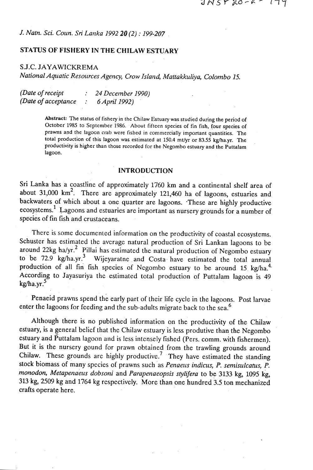## *J. Natn. Sci. Coun.* **Sri** *Lanka 1992 20 (2)* : *199-207*

# *STATUS* **OF FISHERY IN THE CHILAW ESTUARY**

## S.J.C. JAYAWICKREMA

*National Aquatic Resources Agency, Crow Island, Mattakkuliya, Colombo 15.* 

| (Date of receipt)    | 24 December 1990) |
|----------------------|-------------------|
| (Date of acceptance) | 6 April 1992)     |

Abstract: The status of fishery in the Chilaw Estuary was studied during the period of **October 1985 to September 1986. About fifteen species of fin fish, four species of**  prawns and the lagoon crab were fished in commercially important quantities. The **total production of this lagoon was estimated at 150.4 mt/yr or 83.55 kg/ha.yr. The productivity is higher than those recorded for the Negombo estuary and the Puttalam lagoon.** 

#### **INTRODUCTION**

Sri Lanka has a coastline of approximately 1760 km and a continental shelf area of about 31,000 km2. There are approximately 121,460 ha of lagoons, estuaries and backwaters of which about a one quarter are lagoons. These are highly productive ecosystems.' Lagoons and estuaries are important as nursery grounds for a number of species of fin fish and crustaceans.

There is some documented information on the productivity of coastal ecosystems. Schuster has estimated the average natural production of Sri Lankan lagoons to be around 22kg ha/ $vr^2$  Pillai has estimated the natural production of Negombo estuary to be  $72.9$  kg/ha.yr.<sup>3</sup> Wijeyaratne and Costa have estimated the total annual production of all fin fish species of Negombo estuary to be around 15 kg/ha.<sup>4</sup> According to Jayasuriya the estimated total production of Puttalam lagoon is 49  $kg/ha.yr.<sup>5</sup>$ 

Penaeid prawns spend the early part of their life cycle in the lagoons. Post larvae enter the lagoons for feeding and the sub-adults migrate back to the sea.<sup>6</sup>

Although there is no published information on the productivity of the Chilaw estuary, is a general belief that the Chilaw estuary is less produtive than the Negombo estuary and Puttalam lagoon and is less intensely fished (Pers. comm. with fishermen). But it is the nursery gound for prawn obtained from the trawling grounds around Chilaw. These grounds are highly productive.<sup>7</sup> They have estimated the standing stock biomass of many species of prawns such as *Penaeus indicus,* P. *sentisulcatus, P. monodon, Metapenaeus dobsoni* and *Parapenaeopsis stylifera* to be 3133 kg, 1095 kg, 313 kg, 2509 kg and 1764 kg rcspectively. More than one hundred 3.5 ton mechanized crafts operate here.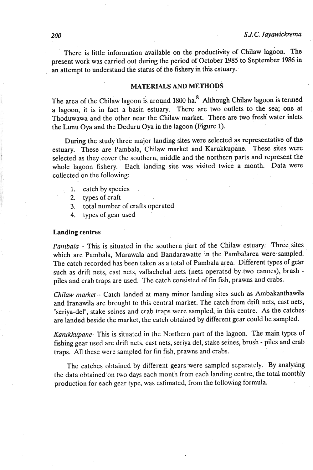There is little information available on the productivity of Chilaw lagoon. The present work was carried out during the period of October 1985 to September 1986 in . an attempt to understand the status of the fishery in this estuary.

## **MATERIALS AND METHODS**

The area of the Chilaw lagoon is around 1800 ha.<sup>8</sup> Although Chilaw lagoon is termed a lagoon, it is in fact a basin estuary. There are two outlets to the sea; one at Thoduwawa and the other near the Chilaw market. There are two fresh water inlets the Lunu Oya and the Deduru Oya in the lagoon (Figure 1).

During the study three major landing sites were selected as representative of the estuary. These are Pambala, Chilaw market and Karukkupane. These sites were selected as they cover the southern, middle and the northern parts and represent the whole lagoon fishery. Each landing site was visited twice a month. Data were collected on the following:

- 1. catch by species
- 2. types of craft
- 3. total number of crafts operated
- 4. types of gear used

#### **Landing centres**

*Pambala* - This is situated in the southern part of the Chilaw estuary: .Three sites which are Pambala, Marawala and Bandarawatte in the Pambalarea were sampled. The catch recorded has been taken as a total of Pambala area. Different types of gear such as drift nets, cast nets, vallachchal nets (nets operated by two canoes), brush piles and crab traps are used. The catch consisted of fin fish, prawns and crabs.

*Chilaw nrarket* - Catch landed at many minor landing sites such as Ambakanthawila and Iranawila are brought to this central market. The catch from drift nets, cast nets, "seriya-del", stake seines and crab traps were sampled, in this centre. As the catches are landed beside the market, the catch obtained by different gear could be sampled.

*Karukkuparte-* This is situated in the Northern part of the lagoon. The main types of fishing gear used are drift nets, cast nets, seriya del, stake seines, brush - piles and crab traps. All these were sampled for fin fish, prawns and crabs.

The catches obtained by different gears were sampled separately. By analysing the data obtained on two days each month from each landing centre, the total monthly production for each gear type, was estimated, from the following formula.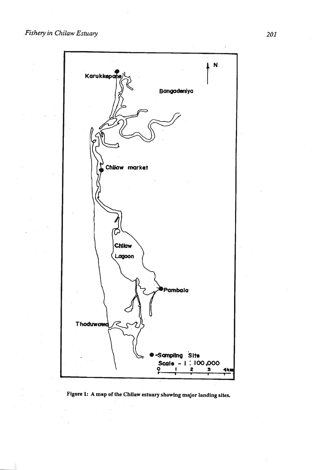

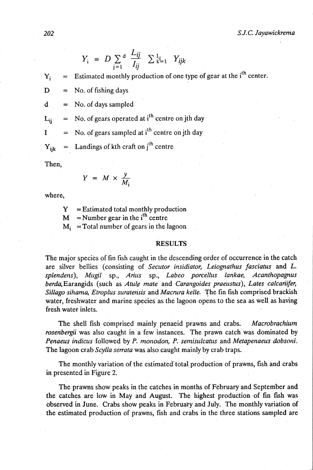$$
Y_i = D \sum_{j=1}^d \frac{L_{ij}}{I_{ij}} \sum_{k=1}^{I_{ij}} Y_{ijk}
$$

$$
Y_i
$$
 = Estimated monthly production of one type of gear at the i<sup>th</sup> center.

- $D = No.$  of fishing days
- $d = No. of days sampled$

 $L_{ii}$  = No. of gears operated at i<sup>th</sup> centre on jth day

 $I = No.$  of gears sampled at i<sup>th</sup> centre on jth day

 $Y_{ijk}$  = Landings of kth craft on j<sup>th</sup> centre

Then,

$$
Y = M \times \frac{y}{M}
$$

where,

 $Y =$ Estimated total monthly production  $M$  = Number gear in the i<sup>th</sup> centre  $M_i$  = Total number of gears in the lagoon

#### **RESULTS**

The major species of fin fish caught in the descending order of occurrence in the catch are silver bellies (consisting of *Secutor insidiator, Leiognathus fasciatus* and *L.*  splendens), Mugil sp., *Arius* sp., *Labeo porcellus lankae*, *Acanthopagnus* berda,Earangids (such as *Able mate* and *Carangoides praeusius), Lates calcariifer, Sillago sihama, Etroplus suraterisis* and *Macmra kelle.* The fin fish comprised brackish water, freshwater and marine species as the lagoon opens to the sea as well as having fresh water inlets.

The shell fish comprised mainly penaeid prawns and crabs. *Macrobrachiurn rosenbergii* was also caught in a few instances. The prawn catch was dominated by *Penaeus indicus followed by P. monodon, P. semisulcatus and Metapenaeus dobsoni.* The lagoon crab *Scylla serrata* was also caught mainly by crab traps.

The monthly variation of the estimated total production of prawns, fish and crabs in presented in Figure 2.

The prawns show peaks in the catches in months of February and September and the catches are low in May and August. The highest production -of fin fsh **was**  observed in June. Crabs show peaks in February and July. The monthly variation of the estimated production of prawns, fish and crabs in the three stations sampled are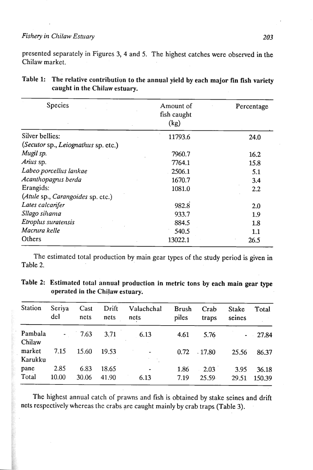# Fishery in Chilaw Estuary

presented separately in Figures 3, 4 and 5. The highest catches were observed in the Chilaw market.

| <b>Species</b>                      | Amount of<br>fish caught | Percentage |  |  |
|-------------------------------------|--------------------------|------------|--|--|
|                                     | (kg)                     |            |  |  |
| Silver bellies:                     | 11793.6                  | 24.0       |  |  |
| (Secutor sp., Leiognathus sp. etc.) |                          |            |  |  |
| Mugil sp.                           | 7960.7                   | 16.2       |  |  |
| Arius sp.                           | 7764.1                   | 15.8       |  |  |
| Labeo porcellus lankae              | 2506.1                   | 5.1        |  |  |
| Acanthopagnis berda                 | 1670.7                   | 3.4        |  |  |
| Erangids:                           | 1081.0                   | 2.2        |  |  |
| (Atule sp., Carangoides sp. etc.)   |                          |            |  |  |
| Lates calcarifer                    | 982.8                    | 2.0        |  |  |
| Sllago sihama                       | 933.7                    | 1.9        |  |  |
| Etroplus suratensis                 | 884.5                    | 1.8        |  |  |
| Macnira kelle                       | 540.5                    | 1.1        |  |  |
| Others                              | 13022.1                  | 26.5       |  |  |

| Table 1: The relative contribution to the annual yield by each major fin fish variety |
|---------------------------------------------------------------------------------------|
| caught in the Chilaw estuary.                                                         |

The estimated total production by main gear types of the study period is given in Table 2.

| Table 2: Estimated total annual production in metric tons by each main gear type |  |  |  |  |  |
|----------------------------------------------------------------------------------|--|--|--|--|--|
| operated in the Chilaw estuary.                                                  |  |  |  |  |  |

| Station           | Seriya<br>del  | Cast<br>nets  | Drift<br>nets  | Valachchal<br>nets | <b>Brush</b><br>piles | Crab<br>traps | <b>Stake</b><br>seines | Total           |
|-------------------|----------------|---------------|----------------|--------------------|-----------------------|---------------|------------------------|-----------------|
| Pambala<br>Chilaw | $\sim$ $ \sim$ | 7.63          | 3.71           | 6.13               | 4.61                  | 5.76          |                        | 27.84           |
| market<br>Karukku | 7.15           | 15.60         | 19.53          |                    | 0.72                  | .17.80        | 25.56                  | 86.37           |
| pane<br>Total     | 2.85<br>10.00  | 6.83<br>30.06 | 18.65<br>41.90 | ٠<br>6.13          | 1.86<br>7.19          | 2.03<br>25.59 | 3.95<br>29.51          | 36.18<br>150.39 |

The highest annual catch of prawns and fish is obtained by stake seines and drift nets respectively whereas the crabs are caught mainly by crab traps (Table 3).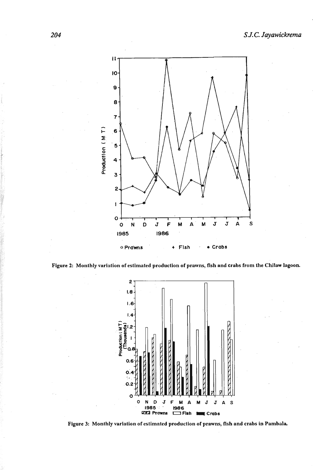





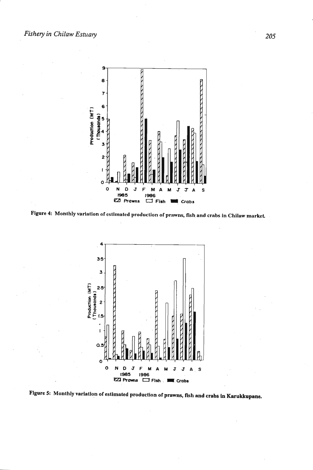

Figure 4: Monthly variation of estimated production of prawns, fish and crabs in Chilaw market.



Figure 5: Monthly variation of estimated production of prawns, fish and crabs in Karukkupane.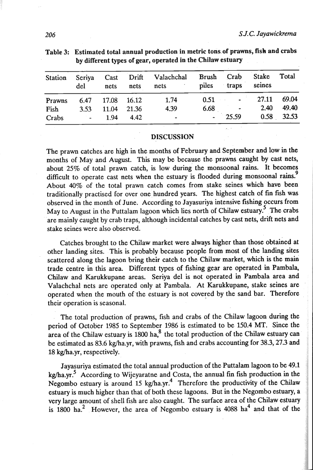| <b>Station</b> | Seriya<br>del   | nets        | nets  | Cast Drift Valachchal<br>nets | Brush Crab<br>piles | traps           | Stake<br>seines | Total      |
|----------------|-----------------|-------------|-------|-------------------------------|---------------------|-----------------|-----------------|------------|
| Prawns         | 6.47            | 17.08 16.12 |       | 1.74                          | 0.51                | <b>Contract</b> | 27.11           | 69.04      |
| Fish           | 3.53            | 11.04       | 21.36 | 4.39                          | 6.68                | $\bullet$       | 2.40            | 49.40      |
| Crabs          | <b>Contract</b> | 1.94        | 4.42  | $\tilde{\phantom{a}}$         | ٠                   | 25.59           |                 | 0.58 32.53 |

Table 3: Estimated total annual production in metric tons of prawns, fish and crabs **by** different types of gear, operated in the Chilaw estuary

#### **DISCUSSION**

The prawn catches are high in the months of February and September and low in the months of May and August. This may be because the prawns caught by cast nets, about 25% of total prawn catch, is low during the monsoonal rains. It becomes difficult to operate cast nets when the estuary is flooded during monsoonal rains.<sup>9</sup> About 40% of the total prawn catch comes from stake seines which have been traditionally practised for over one hundred years. The highest catch of **fin** fsh was observed in the month of June. According to Jayasuriya intensive fishing occurs from May to August in the Puttalam lagoon which lies north of Chilaw estuary.<sup>5</sup> The crabs are mainly caught by crab traps, although incidental catches by cast nets, drift nets and stake seines were also observed.

Catches brought to the Chilaw market were always higher than those obtained at other landing sites. This is probably because people from most of the landing sites scattered along the lagoon bring their catch to the Chilaw market, which is the main trade centre in this area. Different types of fishing gear are operated in Pambala, Chilaw and Karukkupane areas. Seriya del is not operated in Pambala area and Valachchal nets are operated only at Pambala. At Karukkupane, stake seines are operated when the mouth of the estuary is not covered by the sand bar. Therefore their operation is seasonal.

The total production of prawns, fish and crabs of the Chilaw lagoon during the period of October 1985 to September 1986 is estimated to be 150.4 MT. **Since** the area of the Chilaw estuary is  $1800 \text{ ha}$ <sup>8</sup>, the total production of the Chilaw estuary can be estimated as 83.6 kg/ha.yr, with prawns, fish and crabs accounting for 383,273 and 18 kg(ha.yr, respectively.

Jayasuriya estimated the total annual production of the Puttalam lagoon to be 49.1 kg/ha.yr.<sup>5</sup> According to Wijeyaratne and Costa, the annual fin fish production in the Negombo estuary is around 15 kg/ha.vr.<sup>4</sup> Therefore the productivity of the Chilaw estuary is much higher than that of both these lagoons. But in the Negombo estuary, a very large amount of shell fish are also caught. The surface area of the Chilaw estuary is  $1800$  ha.<sup>2</sup> However, the area of Negombo estuary is  $4088$  ha<sup>4</sup> and that of the